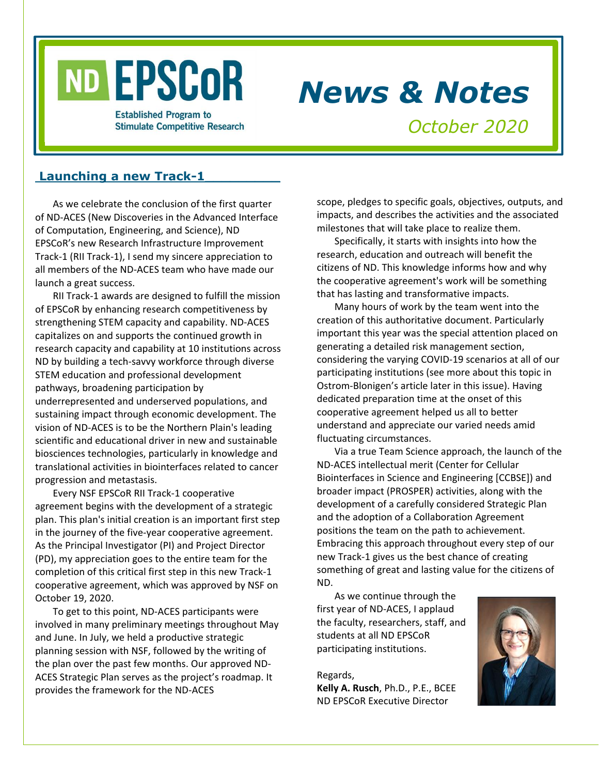# ND EPSCOR

*News & Notes*

**Established Program to Stimulate Competitive Research** 

*October 2020*

# Launching a new Track-1

As we celebrate the conclusion of the first quarter of ND-ACES (New Discoveries in the Advanced Interface of Computation, Engineering, and Science), ND EPSCoR's new Research Infrastructure Improvement Track-1 (RII Track-1), I send my sincere appreciation to all members of the ND-ACES team who have made our launch a great success.

RII Track-1 awards are designed to fulfill the mission of EPSCoR by enhancing research competitiveness by strengthening STEM capacity and capability. ND-ACES capitalizes on and supports the continued growth in research capacity and capability at 10 institutions across ND by building a tech-savvy workforce through diverse STEM education and professional development pathways, broadening participation by underrepresented and underserved populations, and sustaining impact through economic development. The vision of ND-ACES is to be the Northern Plain's leading scientific and educational driver in new and sustainable biosciences technologies, particularly in knowledge and translational activities in biointerfaces related to cancer progression and metastasis.

Every NSF EPSCoR RII Track-1 cooperative agreement begins with the development of a strategic plan. This plan's initial creation is an important first step in the journey of the five-year cooperative agreement. As the Principal Investigator (PI) and Project Director (PD), my appreciation goes to the entire team for the completion of this critical first step in this new Track-1 cooperative agreement, which was approved by NSF on October 19, 2020.

To get to this point, ND-ACES participants were involved in many preliminary meetings throughout May and June. In July, we held a productive strategic planning session with NSF, followed by the writing of the plan over the past few months. Our approved ND-ACES Strategic Plan serves as the project's roadmap. It provides the framework for the ND-ACES

scope, pledges to specific goals, objectives, outputs, and impacts, and describes the activities and the associated milestones that will take place to realize them.

Specifically, it starts with insights into how the research, education and outreach will benefit the citizens of ND. This knowledge informs how and why the cooperative agreement's work will be something that has lasting and transformative impacts.

Many hours of work by the team went into the creation of this authoritative document. Particularly important this year was the special attention placed on generating a detailed risk management section, considering the varying COVID-19 scenarios at all of our participating institutions (see more about this topic in Ostrom-Blonigen's article later in this issue). Having dedicated preparation time at the onset of this cooperative agreement helped us all to better understand and appreciate our varied needs amid fluctuating circumstances.

Via a true Team Science approach, the launch of the ND-ACES intellectual merit (Center for Cellular Biointerfaces in Science and Engineering [CCBSE]) and broader impact (PROSPER) activities, along with the development of a carefully considered Strategic Plan and the adoption of a Collaboration Agreement positions the team on the path to achievement. Embracing this approach throughout every step of our new Track-1 gives us the best chance of creating something of great and lasting value for the citizens of ND.

As we continue through the first year of ND-ACES, I applaud the faculty, researchers, staff, and students at all ND EPSCoR participating institutions.

Regards, **Kelly A. Rusch**, Ph.D., P.E., BCEE ND EPSCoR Executive Director

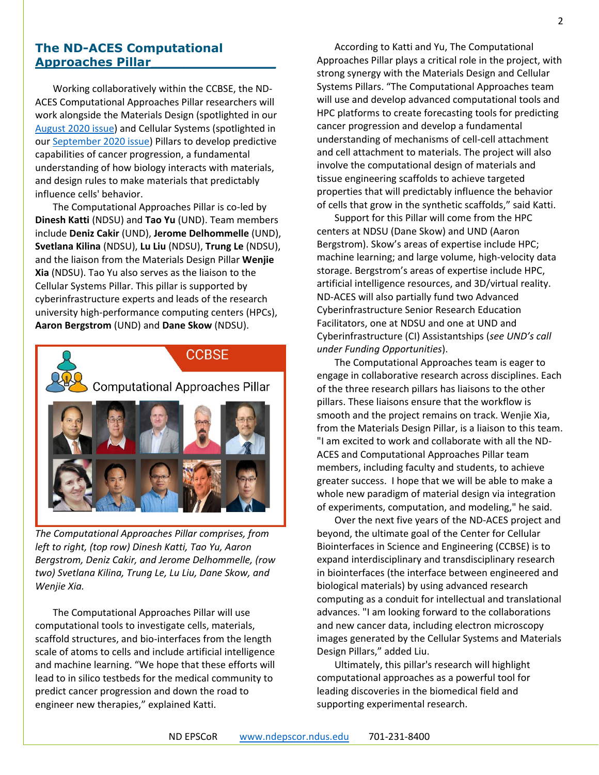# **The ND-ACES Computational Approaches Pillar\_\_\_\_\_\_\_\_\_\_\_\_\_\_\_**

Working collaboratively within the CCBSE, the ND-ACES Computational Approaches Pillar researchers will work alongside the Materials Design (spotlighted in our [August 2020 issue\)](https://www.ndepscor.ndus.edu/fileadmin/ndus/ndepscor/News_and_Notes_Newsletters/News_and_Notes_Newsletter_2020_August.pdf) and Cellular Systems (spotlighted in our [September 2020 issue\)](https://www.ndepscor.ndus.edu/fileadmin/ndus/ndepscor/News_and_Notes_Newsletters/News_and_Notes_Newsletter_2020_September.pdf) Pillars to develop predictive capabilities of cancer progression, a fundamental understanding of how biology interacts with materials, and design rules to make materials that predictably influence cells' behavior.

The Computational Approaches Pillar is co-led by **Dinesh Katti** (NDSU) and **Tao Yu** (UND). Team members include **Deniz Cakir** (UND), **Jerome Delhommelle** (UND), **Svetlana Kilina** (NDSU), **Lu Liu** (NDSU), **Trung Le** (NDSU), and the liaison from the Materials Design Pillar **Wenjie Xia** (NDSU). Tao Yu also serves as the liaison to the Cellular Systems Pillar. This pillar is supported by cyberinfrastructure experts and leads of the research university high-performance computing centers (HPCs), **Aaron Bergstrom** (UND) and **Dane Skow** (NDSU).



*The Computational Approaches Pillar comprises, from left to right, (top row) Dinesh Katti, Tao Yu, Aaron Bergstrom, Deniz Cakir, and Jerome Delhommelle, (row two) Svetlana Kilina, Trung Le, Lu Liu, Dane Skow, and Wenjie Xia.*

The Computational Approaches Pillar will use computational tools to investigate cells, materials, scaffold structures, and bio-interfaces from the length scale of atoms to cells and include artificial intelligence and machine learning. "We hope that these efforts will lead to in silico testbeds for the medical community to predict cancer progression and down the road to engineer new therapies," explained Katti.

According to Katti and Yu, The Computational Approaches Pillar plays a critical role in the project, with strong synergy with the Materials Design and Cellular Systems Pillars. "The Computational Approaches team will use and develop advanced computational tools and HPC platforms to create forecasting tools for predicting cancer progression and develop a fundamental understanding of mechanisms of cell-cell attachment and cell attachment to materials. The project will also involve the computational design of materials and tissue engineering scaffolds to achieve targeted properties that will predictably influence the behavior of cells that grow in the synthetic scaffolds," said Katti.

Support for this Pillar will come from the HPC centers at NDSU (Dane Skow) and UND (Aaron Bergstrom). Skow's areas of expertise include HPC; machine learning; and large volume, high-velocity data storage. Bergstrom's areas of expertise include HPC, artificial intelligence resources, and 3D/virtual reality. ND-ACES will also partially fund two Advanced Cyberinfrastructure Senior Research Education Facilitators, one at NDSU and one at UND and Cyberinfrastructure (CI) Assistantships (*see UND's call under Funding Opportunities*).

The Computational Approaches team is eager to engage in collaborative research across disciplines. Each of the three research pillars has liaisons to the other pillars. These liaisons ensure that the workflow is smooth and the project remains on track. Wenjie Xia, from the Materials Design Pillar, is a liaison to this team. "I am excited to work and collaborate with all the ND-ACES and Computational Approaches Pillar team members, including faculty and students, to achieve greater success. I hope that we will be able to make a whole new paradigm of material design via integration of experiments, computation, and modeling," he said.

Over the next five years of the ND-ACES project and beyond, the ultimate goal of the Center for Cellular Biointerfaces in Science and Engineering (CCBSE) is to expand interdisciplinary and transdisciplinary research in biointerfaces (the interface between engineered and biological materials) by using advanced research computing as a conduit for intellectual and translational advances. "I am looking forward to the collaborations and new cancer data, including electron microscopy images generated by the Cellular Systems and Materials Design Pillars," added Liu.

Ultimately, this pillar's research will highlight computational approaches as a powerful tool for leading discoveries in the biomedical field and supporting experimental research.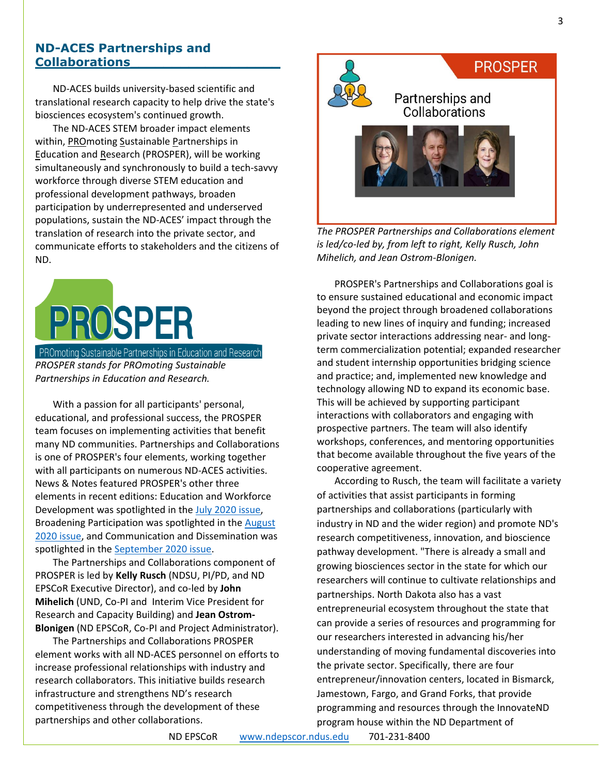## **ND-ACES Partnerships and Collaborations\_\_\_\_\_\_\_\_\_\_\_\_\_\_\_\_\_\_**

ND-ACES builds university-based scientific and translational research capacity to help drive the state's biosciences ecosystem's continued growth.

The ND-ACES STEM broader impact elements within, PROmoting Sustainable Partnerships in Education and Research (PROSPER), will be working simultaneously and synchronously to build a tech-savvy workforce through diverse STEM education and professional development pathways, broaden participation by underrepresented and underserved populations, sustain the ND-ACES' impact through the translation of research into the private sector, and communicate efforts to stakeholders and the citizens of ND.

# **PROSPER**

**PROmoting Sustainable Partnerships in Education and Research** *PROSPER stands for PROmoting Sustainable Partnerships in Education and Research.*

With a passion for all participants' personal, educational, and professional success, the PROSPER team focuses on implementing activities that benefit many ND communities. Partnerships and Collaborations is one of PROSPER's four elements, working together with all participants on numerous ND-ACES activities. News & Notes featured PROSPER's other three elements in recent editions: Education and Workforce Development was spotlighted in the [July 2020 issue,](https://www.ndepscor.ndus.edu/fileadmin/ndus/ndepscor/News_and_Notes_Newsletters/News_and_Notes_Newsletter_2020_July.pdf) Broadening Participation was spotlighted in the [August](https://www.ndepscor.ndus.edu/fileadmin/ndus/ndepscor/News_and_Notes_Newsletters/News_and_Notes_Newsletter_2020_August.pdf)  [2020 issue,](https://www.ndepscor.ndus.edu/fileadmin/ndus/ndepscor/News_and_Notes_Newsletters/News_and_Notes_Newsletter_2020_August.pdf) and Communication and Dissemination was spotlighted in the [September 2020 issue.](https://www.ndepscor.ndus.edu/fileadmin/ndus/ndepscor/News_and_Notes_Newsletters/News_and_Notes_Newsletter_2020_September.pdf)

The Partnerships and Collaborations component of PROSPER is led by **Kelly Rusch** (NDSU, PI/PD, and ND EPSCoR Executive Director), and co-led by **John Mihelich** (UND, Co-PI and Interim Vice President for Research and Capacity Building) and **Jean Ostrom-Blonigen** (ND EPSCoR, Co-PI and Project Administrator).

The Partnerships and Collaborations PROSPER element works with all ND-ACES personnel on efforts to increase professional relationships with industry and research collaborators. This initiative builds research infrastructure and strengthens ND's research competitiveness through the development of these partnerships and other collaborations.



*The PROSPER Partnerships and Collaborations element is led/co-led by, from left to right, Kelly Rusch, John Mihelich, and Jean Ostrom-Blonigen.*

PROSPER's Partnerships and Collaborations goal is to ensure sustained educational and economic impact beyond the project through broadened collaborations leading to new lines of inquiry and funding; increased private sector interactions addressing near- and longterm commercialization potential; expanded researcher and student internship opportunities bridging science and practice; and, implemented new knowledge and technology allowing ND to expand its economic base. This will be achieved by supporting participant interactions with collaborators and engaging with prospective partners. The team will also identify workshops, conferences, and mentoring opportunities that become available throughout the five years of the cooperative agreement.

According to Rusch, the team will facilitate a variety of activities that assist participants in forming partnerships and collaborations (particularly with industry in ND and the wider region) and promote ND's research competitiveness, innovation, and bioscience pathway development. "There is already a small and growing biosciences sector in the state for which our researchers will continue to cultivate relationships and partnerships. North Dakota also has a vast entrepreneurial ecosystem throughout the state that can provide a series of resources and programming for our researchers interested in advancing his/her understanding of moving fundamental discoveries into the private sector. Specifically, there are four entrepreneur/innovation centers, located in Bismarck, Jamestown, Fargo, and Grand Forks, that provide programming and resources through the InnovateND program house within the ND Department of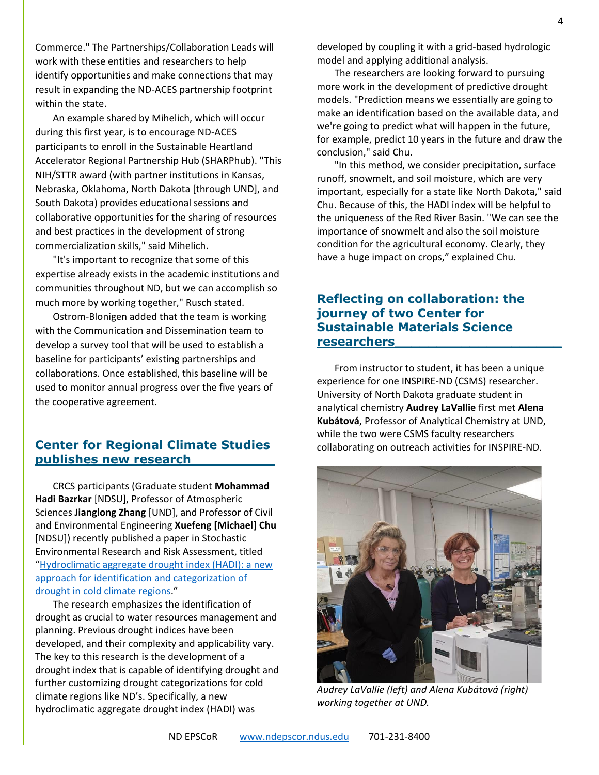Commerce." The Partnerships/Collaboration Leads will work with these entities and researchers to help identify opportunities and make connections that may result in expanding the ND-ACES partnership footprint within the state.

An example shared by Mihelich, which will occur during this first year, is to encourage ND-ACES participants to enroll in the Sustainable Heartland Accelerator Regional Partnership Hub (SHARPhub). "This NIH/STTR award (with partner institutions in Kansas, Nebraska, Oklahoma, North Dakota [through UND], and South Dakota) provides educational sessions and collaborative opportunities for the sharing of resources and best practices in the development of strong commercialization skills," said Mihelich.

"It's important to recognize that some of this expertise already exists in the academic institutions and communities throughout ND, but we can accomplish so much more by working together," Rusch stated.

Ostrom-Blonigen added that the team is working with the Communication and Dissemination team to develop a survey tool that will be used to establish a baseline for participants' existing partnerships and collaborations. Once established, this baseline will be used to monitor annual progress over the five years of the cooperative agreement.

# **Center for Regional Climate Studies publishes new research\_\_\_\_\_\_\_\_\_\_**

CRCS participants (Graduate student **Mohammad Hadi Bazrkar** [NDSU], Professor of Atmospheric Sciences **Jianglong Zhang** [UND], and Professor of Civil and Environmental Engineering **Xuefeng [Michael] Chu** [NDSU]) recently published a paper in Stochastic Environmental Research and Risk Assessment, titled "[Hydroclimatic aggregate drought index \(HADI\): a new](https://doi.org/10.1007/s00477-020-01870-5)  [approach for identification and categorization of](https://doi.org/10.1007/s00477-020-01870-5)  [drought in cold climate regions](https://doi.org/10.1007/s00477-020-01870-5)."

The research emphasizes the identification of drought as crucial to water resources management and planning. Previous drought indices have been developed, and their complexity and applicability vary. The key to this research is the development of a drought index that is capable of identifying drought and further customizing drought categorizations for cold climate regions like ND's. Specifically, a new hydroclimatic aggregate drought index (HADI) was

developed by coupling it with a grid-based hydrologic model and applying additional analysis.

The researchers are looking forward to pursuing more work in the development of predictive drought models. "Prediction means we essentially are going to make an identification based on the available data, and we're going to predict what will happen in the future, for example, predict 10 years in the future and draw the conclusion," said Chu.

"In this method, we consider precipitation, surface runoff, snowmelt, and soil moisture, which are very important, especially for a state like North Dakota," said Chu. Because of this, the HADI index will be helpful to the uniqueness of the Red River Basin. "We can see the importance of snowmelt and also the soil moisture condition for the agricultural economy. Clearly, they have a huge impact on crops," explained Chu.

# **Reflecting on collaboration: the journey of two Center for Sustainable Materials Science researchers\_\_\_\_\_\_\_\_\_\_\_\_\_\_\_\_\_\_\_\_**

From instructor to student, it has been a unique experience for one INSPIRE-ND (CSMS) researcher. University of North Dakota graduate student in analytical chemistry **Audrey LaVallie** first met **Alena Kubátová**, Professor of Analytical Chemistry at UND, while the two were CSMS faculty researchers collaborating on outreach activities for INSPIRE-ND.



*Audrey LaVallie (left) and Alena Kubátová (right) working together at UND.*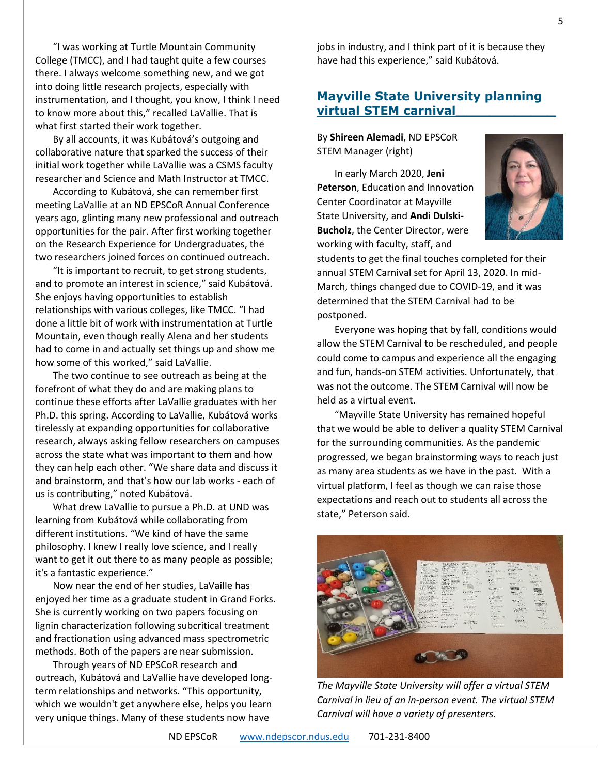"I was working at Turtle Mountain Community College (TMCC), and I had taught quite a few courses there. I always welcome something new, and we got into doing little research projects, especially with instrumentation, and I thought, you know, I think I need to know more about this," recalled LaVallie. That is what first started their work together.

By all accounts, it was Kubátová's outgoing and collaborative nature that sparked the success of their initial work together while LaVallie was a CSMS faculty researcher and Science and Math Instructor at TMCC.

According to Kubátová, she can remember first meeting LaVallie at an ND EPSCoR Annual Conference years ago, glinting many new professional and outreach opportunities for the pair. After first working together on the Research Experience for Undergraduates, the two researchers joined forces on continued outreach.

"It is important to recruit, to get strong students, and to promote an interest in science," said Kubátová. She enjoys having opportunities to establish relationships with various colleges, like TMCC. "I had done a little bit of work with instrumentation at Turtle Mountain, even though really Alena and her students had to come in and actually set things up and show me how some of this worked," said LaVallie.

The two continue to see outreach as being at the forefront of what they do and are making plans to continue these efforts after LaVallie graduates with her Ph.D. this spring. According to LaVallie, Kubátová works tirelessly at expanding opportunities for collaborative research, always asking fellow researchers on campuses across the state what was important to them and how they can help each other. "We share data and discuss it and brainstorm, and that's how our lab works - each of us is contributing," noted Kubátová.

What drew LaVallie to pursue a Ph.D. at UND was learning from Kubátová while collaborating from different institutions. "We kind of have the same philosophy. I knew I really love science, and I really want to get it out there to as many people as possible; it's a fantastic experience."

Now near the end of her studies, LaVaille has enjoyed her time as a graduate student in Grand Forks. She is currently working on two papers focusing on lignin characterization following subcritical treatment and fractionation using advanced mass spectrometric methods. Both of the papers are near submission.

Through years of ND EPSCoR research and outreach, Kubátová and LaVallie have developed longterm relationships and networks. "This opportunity, which we wouldn't get anywhere else, helps you learn very unique things. Many of these students now have

jobs in industry, and I think part of it is because they have had this experience," said Kubátová.

# **Mayville State University planning virtual STEM carnival\_\_\_\_\_\_\_\_\_\_\_\_**

By **Shireen Alemadi**, ND EPSCoR STEM Manager (right)

In early March 2020, **Jeni Peterson**, Education and Innovation Center Coordinator at Mayville State University, and **Andi Dulski-Bucholz**, the Center Director, were working with faculty, staff, and



students to get the final touches completed for their annual STEM Carnival set for April 13, 2020. In mid-March, things changed due to COVID-19, and it was determined that the STEM Carnival had to be postponed.

Everyone was hoping that by fall, conditions would allow the STEM Carnival to be rescheduled, and people could come to campus and experience all the engaging and fun, hands-on STEM activities. Unfortunately, that was not the outcome. The STEM Carnival will now be held as a virtual event.

"Mayville State University has remained hopeful that we would be able to deliver a quality STEM Carnival for the surrounding communities. As the pandemic progressed, we began brainstorming ways to reach just as many area students as we have in the past. With a virtual platform, I feel as though we can raise those expectations and reach out to students all across the state," Peterson said.



*The Mayville State University will offer a virtual STEM Carnival in lieu of an in-person event. The virtual STEM Carnival will have a variety of presenters.*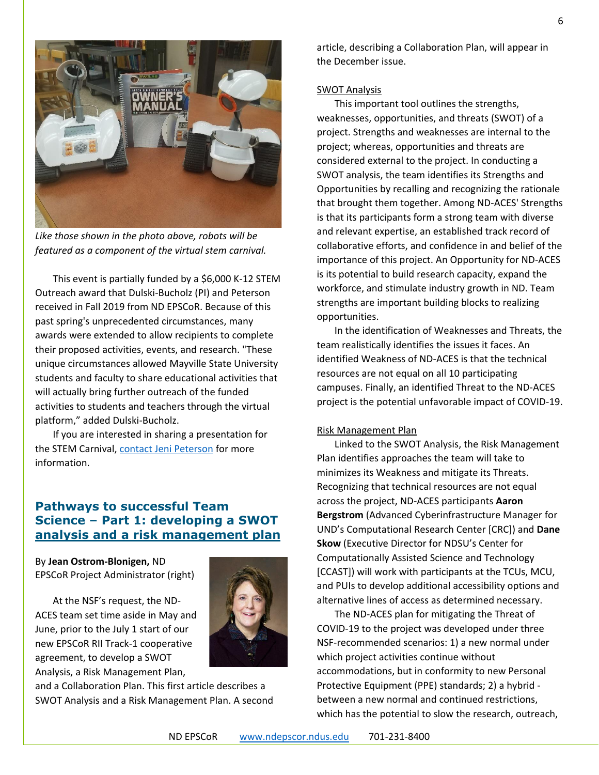

*Like those shown in the photo above, robots will be featured as a component of the virtual stem carnival.*

This event is partially funded by a \$6,000 K-12 STEM Outreach award that Dulski-Bucholz (PI) and Peterson received in Fall 2019 from ND EPSCoR. Because of this past spring's unprecedented circumstances, many awards were extended to allow recipients to complete their proposed activities, events, and research. "These unique circumstances allowed Mayville State University students and faculty to share educational activities that will actually bring further outreach of the funded activities to students and teachers through the virtual platform," added Dulski-Bucholz.

If you are interested in sharing a presentation for the STEM Carnival, [contact Jeni Peterson](mailto:jeni.peterson@mayvillestate.edu) for more information.

# **Pathways to successful Team Science – Part 1: developing a SWOT analysis and a risk management plan**

By **Jean Ostrom-Blonigen,** ND EPSCoR Project Administrator (right)

At the NSF's request, the ND-ACES team set time aside in May and June, prior to the July 1 start of our new EPSCoR RII Track-1 cooperative agreement, to develop a SWOT Analysis, a Risk Management Plan,



and a Collaboration Plan. This first article describes a SWOT Analysis and a Risk Management Plan. A second article, describing a Collaboration Plan, will appear in the December issue.

#### SWOT Analysis

This important tool outlines the strengths, weaknesses, opportunities, and threats (SWOT) of a project. Strengths and weaknesses are internal to the project; whereas, opportunities and threats are considered external to the project. In conducting a SWOT analysis, the team identifies its Strengths and Opportunities by recalling and recognizing the rationale that brought them together. Among ND-ACES' Strengths is that its participants form a strong team with diverse and relevant expertise, an established track record of collaborative efforts, and confidence in and belief of the importance of this project. An Opportunity for ND-ACES is its potential to build research capacity, expand the workforce, and stimulate industry growth in ND. Team strengths are important building blocks to realizing opportunities.

In the identification of Weaknesses and Threats, the team realistically identifies the issues it faces. An identified Weakness of ND-ACES is that the technical resources are not equal on all 10 participating campuses. Finally, an identified Threat to the ND-ACES project is the potential unfavorable impact of COVID-19.

#### Risk Management Plan

Linked to the SWOT Analysis, the Risk Management Plan identifies approaches the team will take to minimizes its Weakness and mitigate its Threats. Recognizing that technical resources are not equal across the project, ND-ACES participants **Aaron Bergstrom** (Advanced Cyberinfrastructure Manager for UND's Computational Research Center [CRC]) and **Dane Skow** (Executive Director for NDSU's Center for Computationally Assisted Science and Technology [CCAST]) will work with participants at the TCUs, MCU, and PUIs to develop additional accessibility options and alternative lines of access as determined necessary.

The ND-ACES plan for mitigating the Threat of COVID-19 to the project was developed under three NSF-recommended scenarios: 1) a new normal under which project activities continue without accommodations, but in conformity to new Personal Protective Equipment (PPE) standards; 2) a hybrid between a new normal and continued restrictions, which has the potential to slow the research, outreach,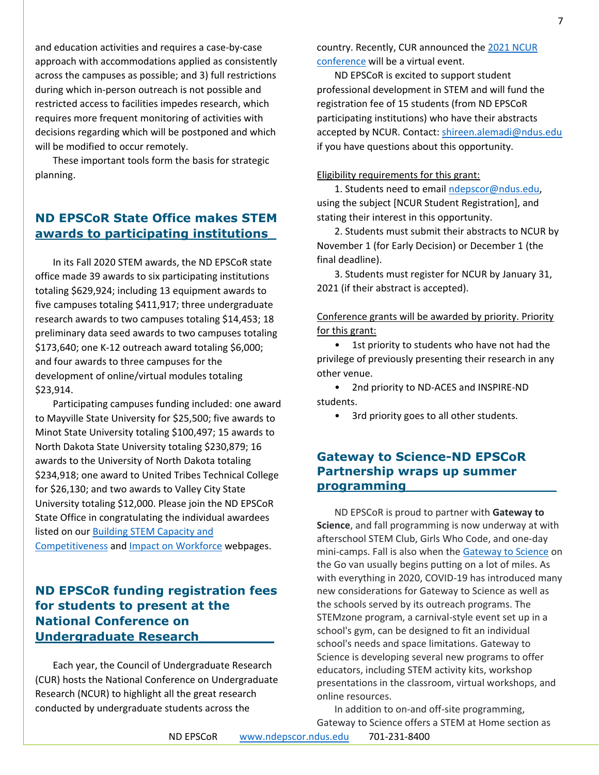and education activities and requires a case-by-case approach with accommodations applied as consistently across the campuses as possible; and 3) full restrictions during which in-person outreach is not possible and restricted access to facilities impedes research, which requires more frequent monitoring of activities with decisions regarding which will be postponed and which will be modified to occur remotely.

These important tools form the basis for strategic planning.

# **ND EPSCoR State Office makes STEM awards to participating institutions\_**

In its Fall 2020 STEM awards, the ND EPSCoR state office made 39 awards to six participating institutions totaling \$629,924; including 13 equipment awards to five campuses totaling \$411,917; three undergraduate research awards to two campuses totaling \$14,453; 18 preliminary data seed awards to two campuses totaling \$173,640; one K-12 outreach award totaling \$6,000; and four awards to three campuses for the development of online/virtual modules totaling \$23,914.

Participating campuses funding included: one award to Mayville State University for \$25,500; five awards to Minot State University totaling \$100,497; 15 awards to North Dakota State University totaling \$230,879; 16 awards to the University of North Dakota totaling \$234,918; one award to United Tribes Technical College for \$26,130; and two awards to Valley City State University totaling \$12,000. Please join the ND EPSCoR State Office in congratulating the individual awardees listed on ou[r Building STEM Capacity and](https://www.ndepscor.ndus.edu/serving-our-state/buiding-stem-capacity-and-competitiveness/)  [Competitiveness](https://www.ndepscor.ndus.edu/serving-our-state/buiding-stem-capacity-and-competitiveness/) and [Impact on Workforce](https://www.ndepscor.ndus.edu/serving-our-state/impactonworkforce/) webpages.

# **ND EPSCoR funding registration fees for students to present at the National Conference on Undergraduate Research\_\_\_\_\_\_\_\_\_**

Each year, the Council of Undergraduate Research (CUR) hosts the National Conference on Undergraduate Research (NCUR) to highlight all the great research conducted by undergraduate students across the

country. Recently, CUR announced the 2021 NCUR [conference](https://www.cur.org/what/events/students/ncur/2021/?utm_source=Email&utm_medium=Email&utm_campaign=InformZ&_zs=7Kwtb&_zl=BlfG2) will be a virtual event.

ND EPSCoR is excited to support student professional development in STEM and will fund the registration fee of 15 students (from ND EPSCoR participating institutions) who have their abstracts accepted by NCUR. Contact: [shireen.alemadi@ndus.edu](mailto:shireen.alemadi@ndus.edu) if you have questions about this opportunity.

#### Eligibility requirements for this grant:

1. Students need to email [ndepscor@ndus.edu,](mailto:ndepscor@ndus.edu) using the subject [NCUR Student Registration], and stating their interest in this opportunity.

2. Students must submit their abstracts to NCUR by November 1 (for Early Decision) or December 1 (the final deadline).

3. Students must register for NCUR by January 31, 2021 (if their abstract is accepted).

Conference grants will be awarded by priority. Priority for this grant:

• 1st priority to students who have not had the privilege of previously presenting their research in any other venue.

• 2nd priority to ND-ACES and INSPIRE-ND students.

• 3rd priority goes to all other students.

# **Gateway to Science-ND EPSCoR Partnership wraps up summer programming\_\_\_\_\_\_\_\_\_\_\_\_\_\_\_\_\_\_**

ND EPSCoR is proud to partner with **Gateway to Science**, and fall programming is now underway at with afterschool STEM Club, Girls Who Code, and one-day mini-camps. Fall is also when the [Gateway to Science](http://www.gatewaytoscience.org/) on the Go van usually begins putting on a lot of miles. As with everything in 2020, COVID-19 has introduced many new considerations for Gateway to Science as well as the schools served by its outreach programs. The STEMzone program, a carnival-style event set up in a school's gym, can be designed to fit an individual school's needs and space limitations. Gateway to Science is developing several new programs to offer educators, including STEM activity kits, workshop presentations in the classroom, virtual workshops, and online resources.

In addition to on-and off-site programming, Gateway to Science offers a STEM at Home section as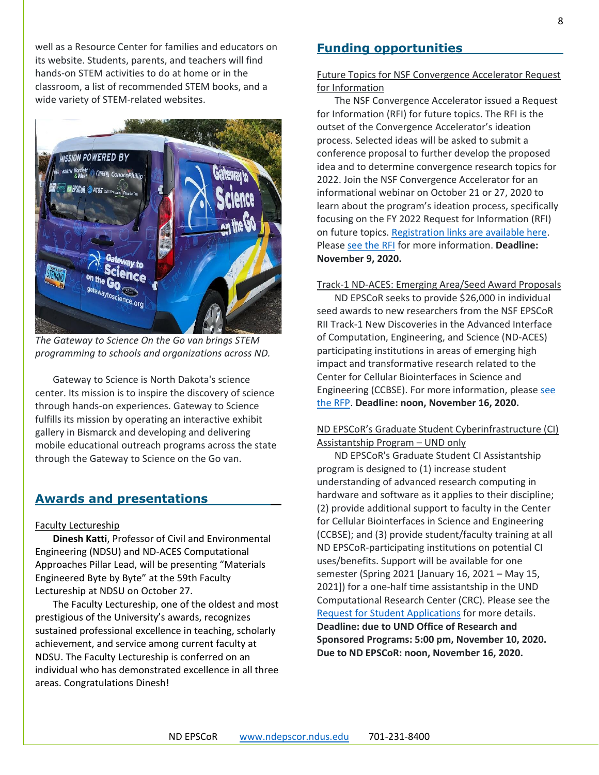well as a Resource Center for families and educators on its website. Students, parents, and teachers will find hands-on STEM activities to do at home or in the classroom, a list of recommended STEM books, and a wide variety of STEM-related websites.



*The Gateway to Science On the Go van brings STEM programming to schools and organizations across ND.*

Gateway to Science is North Dakota's science center. Its mission is to inspire the discovery of science through hands-on experiences. Gateway to Science fulfills its mission by operating an interactive exhibit gallery in Bismarck and developing and delivering mobile educational outreach programs across the state through the Gateway to Science on the Go van.

# **Awards and presentations**

#### Faculty Lectureship

**Dinesh Katti**, Professor of Civil and Environmental Engineering (NDSU) and ND-ACES Computational Approaches Pillar Lead, will be presenting "Materials Engineered Byte by Byte" at the 59th Faculty Lectureship at NDSU on October 27.

The Faculty Lectureship, one of the oldest and most prestigious of the University's awards, recognizes sustained professional excellence in teaching, scholarly achievement, and service among current faculty at NDSU. The Faculty Lectureship is conferred on an individual who has demonstrated excellence in all three areas. Congratulations Dinesh!

# **Funding opportunities**

#### Future Topics for NSF Convergence Accelerator Request for Information

The NSF Convergence Accelerator issued a Request for Information (RFI) for future topics. The RFI is the outset of the Convergence Accelerator's ideation process. Selected ideas will be asked to submit a conference proposal to further develop the proposed idea and to determine convergence research topics for 2022. Join the NSF Convergence Accelerator for an informational webinar on October 21 or 27, 2020 to learn about the program's ideation process, specifically focusing on the FY 2022 Request for Information (RFI) on future topics. [Registration links are available here.](https://www.nsf.gov/od/oia/convergence-accelerator/) Please [see the RFI](http://bit.ly/NSF-21-012) for more information. **Deadline: November 9, 2020.**

#### Track-1 ND-ACES: Emerging Area/Seed Award Proposals

ND EPSCoR seeks to provide \$26,000 in individual seed awards to new researchers from the NSF EPSCoR RII Track-1 New Discoveries in the Advanced Interface of Computation, Engineering, and Science (ND-ACES) participating institutions in areas of emerging high impact and transformative research related to the Center for Cellular Biointerfaces in Science and Engineering (CCBSE). For more information, pleas[e see](https://www.ndepscor.ndus.edu/fileadmin/ndus/ndepscor/SeedAwards/2020_ND-ACES_EMERGING_and_SEED_RFP.pdf)  [the RFP.](https://www.ndepscor.ndus.edu/fileadmin/ndus/ndepscor/SeedAwards/2020_ND-ACES_EMERGING_and_SEED_RFP.pdf) **Deadline: noon, November 16, 2020.**

### ND EPSCoR's Graduate Student Cyberinfrastructure (CI) Assistantship Program – UND only

ND EPSCoR's Graduate Student CI Assistantship program is designed to (1) increase student understanding of advanced research computing in hardware and software as it applies to their discipline; (2) provide additional support to faculty in the Center for Cellular Biointerfaces in Science and Engineering (CCBSE); and (3) provide student/faculty training at all ND EPSCoR-participating institutions on potential CI uses/benefits. Support will be available for one semester (Spring 2021 [January 16, 2021 – May 15, 2021]) for a one-half time assistantship in the UND Computational Research Center (CRC). Please see the [Request for Student Applications](https://www.ndepscor.ndus.edu/fileadmin/ndus/ndepscor/CI/UNDCIGRAsRFA2021.pdf) for more details. **Deadline: due to UND Office of Research and Sponsored Programs: 5:00 pm, November 10, 2020. Due to ND EPSCoR: noon, November 16, 2020.**